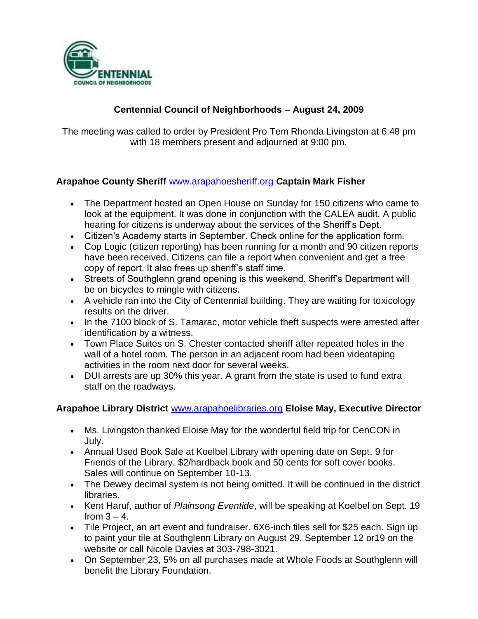

## **Centennial Council of Neighborhoods – August 24, 2009**

The meeting was called to order by President Pro Tem Rhonda Livingston at 6:48 pm with 18 members present and adjourned at 9:00 pm.

#### **Arapahoe County Sheriff** [www.arapahoesheriff.org](http://www.arapahoesheriff.org/) **Captain Mark Fisher**

- The Department hosted an Open House on Sunday for 150 citizens who came to look at the equipment. It was done in conjunction with the CALEA audit. A public hearing for citizens is underway about the services of the Sheriff's Dept.
- Citizen's Academy starts in September. Check online for the application form.
- Cop Logic (citizen reporting) has been running for a month and 90 citizen reports have been received. Citizens can file a report when convenient and get a free copy of report. It also frees up sheriff's staff time.
- Streets of Southglenn grand opening is this weekend. Sheriff's Department will be on bicycles to mingle with citizens.
- A vehicle ran into the City of Centennial building. They are waiting for toxicology results on the driver.
- In the 7100 block of S. Tamarac, motor vehicle theft suspects were arrested after identification by a witness.
- Town Place Suites on S. Chester contacted sheriff after repeated holes in the wall of a hotel room. The person in an adjacent room had been videotaping activities in the room next door for several weeks.
- DUI arrests are up 30% this year. A grant from the state is used to fund extra staff on the roadways.

### **Arapahoe Library District** [www.arapahoelibraries.org](http://www.arapahoelibraries.org/) **Eloise May, Executive Director**

- Ms. Livingston thanked Eloise May for the wonderful field trip for CenCON in July.
- Annual Used Book Sale at Koelbel Library with opening date on Sept. 9 for Friends of the Library. \$2/hardback book and 50 cents for soft cover books. Sales will continue on September 10-13.
- The Dewey decimal system is not being omitted. It will be continued in the district libraries.
- Kent Haruf, author of *Plainsong Eventide*, will be speaking at Koelbel on Sept. 19 from  $3 - 4$ .
- Tile Project, an art event and fundraiser. 6X6-inch tiles sell for \$25 each. Sign up to paint your tile at Southglenn Library on August 29, September 12 or19 on the website or call Nicole Davies at 303-798-3021.
- On September 23, 5% on all purchases made at Whole Foods at Southglenn will benefit the Library Foundation.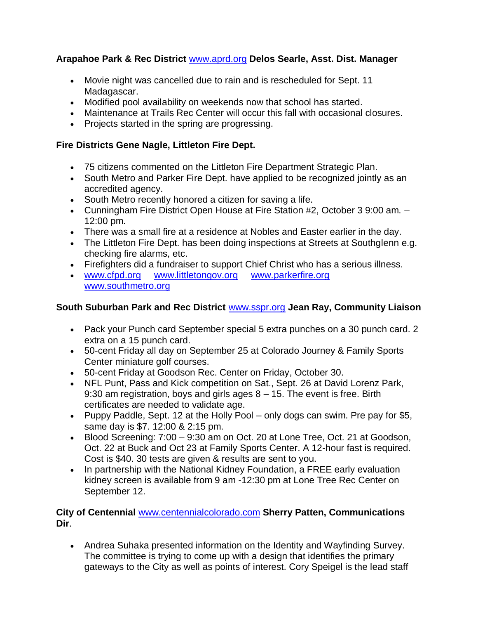### **Arapahoe Park & Rec District** [www.aprd.org](http://www.aprd.org/) **Delos Searle, Asst. Dist. Manager**

- Movie night was cancelled due to rain and is rescheduled for Sept. 11 Madagascar.
- Modified pool availability on weekends now that school has started.
- Maintenance at Trails Rec Center will occur this fall with occasional closures.
- Projects started in the spring are progressing.

### **Fire Districts Gene Nagle, Littleton Fire Dept.**

- 75 citizens commented on the Littleton Fire Department Strategic Plan.
- South Metro and Parker Fire Dept. have applied to be recognized jointly as an accredited agency.
- South Metro recently honored a citizen for saving a life.
- Cunningham Fire District Open House at Fire Station #2, October 3 9:00 am. 12:00 pm.
- There was a small fire at a residence at Nobles and Easter earlier in the day.
- The Littleton Fire Dept. has been doing inspections at Streets at Southglenn e.g. checking fire alarms, etc.
- Firefighters did a fundraiser to support Chief Christ who has a serious illness.
- [www.cfpd.org](http://www.cfpd.org/) [www.littletongov.org](http://www.littletongov.org/) [www.parkerfire.org](http://www.parkerfire.org/)  [www.southmetro.org](http://www.southmetro.org/)

## **South Suburban Park and Rec District** [www.sspr.org](http://www.sspr.org/) **Jean Ray, Community Liaison**

- Pack your Punch card September special 5 extra punches on a 30 punch card. 2 extra on a 15 punch card.
- 50-cent Friday all day on September 25 at Colorado Journey & Family Sports Center miniature golf courses.
- 50-cent Friday at Goodson Rec. Center on Friday, October 30.
- NFL Punt, Pass and Kick competition on Sat., Sept. 26 at David Lorenz Park, 9:30 am registration, boys and girls ages 8 – 15. The event is free. Birth certificates are needed to validate age.
- Puppy Paddle, Sept. 12 at the Holly Pool only dogs can swim. Pre pay for \$5, same day is \$7. 12:00 & 2:15 pm.
- Blood Screening: 7:00 9:30 am on Oct. 20 at Lone Tree, Oct. 21 at Goodson, Oct. 22 at Buck and Oct 23 at Family Sports Center. A 12-hour fast is required. Cost is \$40. 30 tests are given & results are sent to you.
- In partnership with the National Kidney Foundation, a FREE early evaluation kidney screen is available from 9 am -12:30 pm at Lone Tree Rec Center on September 12.

#### **City of Centennial** [www.centennialcolorado.com](http://www.centennialcolorado.com/) **Sherry Patten, Communications Dir**.

 Andrea Suhaka presented information on the Identity and Wayfinding Survey. The committee is trying to come up with a design that identifies the primary gateways to the City as well as points of interest. Cory Speigel is the lead staff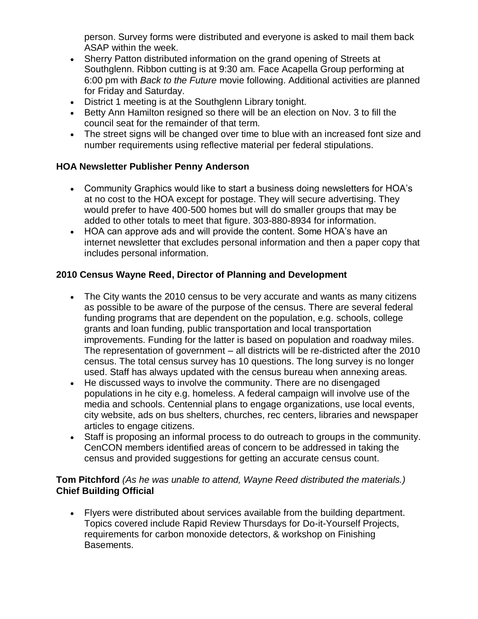person. Survey forms were distributed and everyone is asked to mail them back ASAP within the week.

- Sherry Patton distributed information on the grand opening of Streets at Southglenn. Ribbon cutting is at 9:30 am. Face Acapella Group performing at 6:00 pm with *Back to the Future* movie following. Additional activities are planned for Friday and Saturday.
- District 1 meeting is at the Southglenn Library tonight.
- Betty Ann Hamilton resigned so there will be an election on Nov. 3 to fill the council seat for the remainder of that term.
- The street signs will be changed over time to blue with an increased font size and number requirements using reflective material per federal stipulations.

## **HOA Newsletter Publisher Penny Anderson**

- Community Graphics would like to start a business doing newsletters for HOA's at no cost to the HOA except for postage. They will secure advertising. They would prefer to have 400-500 homes but will do smaller groups that may be added to other totals to meet that figure. 303-880-8934 for information.
- HOA can approve ads and will provide the content. Some HOA's have an internet newsletter that excludes personal information and then a paper copy that includes personal information.

## **2010 Census Wayne Reed, Director of Planning and Development**

- The City wants the 2010 census to be very accurate and wants as many citizens as possible to be aware of the purpose of the census. There are several federal funding programs that are dependent on the population, e.g. schools, college grants and loan funding, public transportation and local transportation improvements. Funding for the latter is based on population and roadway miles. The representation of government – all districts will be re-districted after the 2010 census. The total census survey has 10 questions. The long survey is no longer used. Staff has always updated with the census bureau when annexing areas.
- He discussed ways to involve the community. There are no disengaged populations in he city e.g. homeless. A federal campaign will involve use of the media and schools. Centennial plans to engage organizations, use local events, city website, ads on bus shelters, churches, rec centers, libraries and newspaper articles to engage citizens.
- Staff is proposing an informal process to do outreach to groups in the community. CenCON members identified areas of concern to be addressed in taking the census and provided suggestions for getting an accurate census count.

### **Tom Pitchford** *(As he was unable to attend, Wayne Reed distributed the materials.)* **Chief Building Official**

 Flyers were distributed about services available from the building department. Topics covered include Rapid Review Thursdays for Do-it-Yourself Projects, requirements for carbon monoxide detectors, & workshop on Finishing Basements.